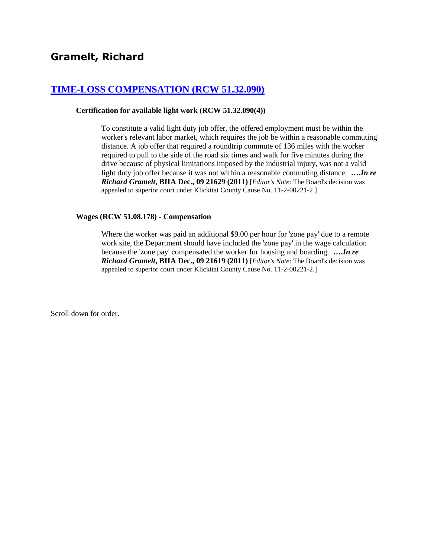# **[TIME-LOSS COMPENSATION \(RCW 51.32.090\)](http://www.biia.wa.gov/SDSubjectIndex.html#TIME_LOSS_COMPENSATION)**

#### **Certification for available light work (RCW 51.32.090(4))**

To constitute a valid light duty job offer, the offered employment must be within the worker's relevant labor market, which requires the job be within a reasonable commuting distance. A job offer that required a roundtrip commute of 136 miles with the worker required to pull to the side of the road six times and walk for five minutes during the drive because of physical limitations imposed by the industrial injury, was not a valid light duty job offer because it was not within a reasonable commuting distance. **….***In re Richard Gramelt***, BIIA Dec., 09 21629 (2011)** [*Editor's Note*: The Board's decision was appealed to superior court under Klickitat County Cause No. 11-2-00221-2.]

#### **Wages (RCW 51.08.178) - Compensation**

Where the worker was paid an additional \$9.00 per hour for 'zone pay' due to a remote work site, the Department should have included the 'zone pay' in the wage calculation because the 'zone pay' compensated the worker for housing and boarding. **….***In re Richard Gramelt***, BIIA Dec., 09 21619 (2011)** [*Editor's Note*: The Board's decision was appealed to superior court under Klickitat County Cause No. 11-2-00221-2.]

Scroll down for order.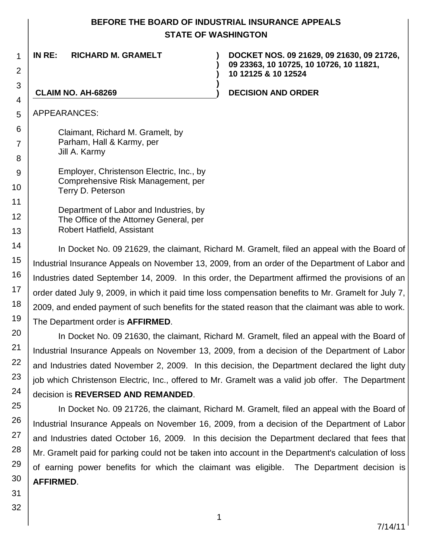# **BEFORE THE BOARD OF INDUSTRIAL INSURANCE APPEALS STATE OF WASHINGTON**

**) )**

**)**

**IN RE: RICHARD M. GRAMELT )**

**DOCKET NOS. 09 21629, 09 21630, 09 21726, 09 23363, 10 10725, 10 10726, 10 11821, 10 12125 & 10 12524**

**CLAIM NO. AH-68269 ) DECISION AND ORDER**

APPEARANCES:

1

2

3

4

5

6

7

8 9

10

11

12

13

20

21

22

23

24

Claimant, Richard M. Gramelt, by Parham, Hall & Karmy, per Jill A. Karmy

Employer, Christenson Electric, Inc., by Comprehensive Risk Management, per Terry D. Peterson

Department of Labor and Industries, by The Office of the Attorney General, per Robert Hatfield, Assistant

14 15 16 17 18 19 In Docket No. 09 21629, the claimant, Richard M. Gramelt, filed an appeal with the Board of Industrial Insurance Appeals on November 13, 2009, from an order of the Department of Labor and Industries dated September 14, 2009. In this order, the Department affirmed the provisions of an order dated July 9, 2009, in which it paid time loss compensation benefits to Mr. Gramelt for July 7, 2009, and ended payment of such benefits for the stated reason that the claimant was able to work. The Department order is **AFFIRMED**.

In Docket No. 09 21630, the claimant, Richard M. Gramelt, filed an appeal with the Board of Industrial Insurance Appeals on November 13, 2009, from a decision of the Department of Labor and Industries dated November 2, 2009. In this decision, the Department declared the light duty job which Christenson Electric, Inc., offered to Mr. Gramelt was a valid job offer. The Department decision is **REVERSED AND REMANDED**.

25 26 27 28 29 30 In Docket No. 09 21726, the claimant, Richard M. Gramelt, filed an appeal with the Board of Industrial Insurance Appeals on November 16, 2009, from a decision of the Department of Labor and Industries dated October 16, 2009. In this decision the Department declared that fees that Mr. Gramelt paid for parking could not be taken into account in the Department's calculation of loss of earning power benefits for which the claimant was eligible. The Department decision is **AFFIRMED**.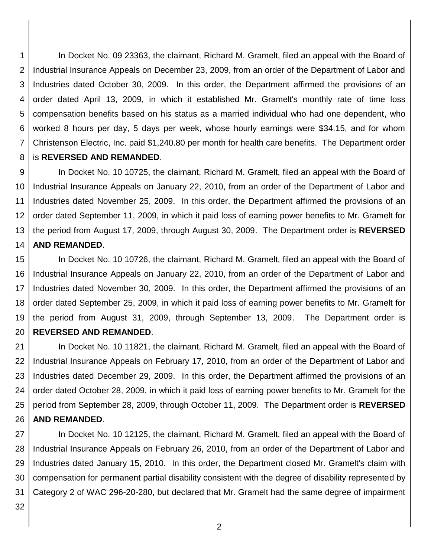1 2 3 4 5 6 7 8 In Docket No. 09 23363, the claimant, Richard M. Gramelt, filed an appeal with the Board of Industrial Insurance Appeals on December 23, 2009, from an order of the Department of Labor and Industries dated October 30, 2009. In this order, the Department affirmed the provisions of an order dated April 13, 2009, in which it established Mr. Gramelt's monthly rate of time loss compensation benefits based on his status as a married individual who had one dependent, who worked 8 hours per day, 5 days per week, whose hourly earnings were \$34.15, and for whom Christenson Electric, Inc. paid \$1,240.80 per month for health care benefits. The Department order is **REVERSED AND REMANDED**.

9 10 11 12 13 14 In Docket No. 10 10725, the claimant, Richard M. Gramelt, filed an appeal with the Board of Industrial Insurance Appeals on January 22, 2010, from an order of the Department of Labor and Industries dated November 25, 2009. In this order, the Department affirmed the provisions of an order dated September 11, 2009, in which it paid loss of earning power benefits to Mr. Gramelt for the period from August 17, 2009, through August 30, 2009. The Department order is **REVERSED AND REMANDED**.

15 16 17 18 19 20 In Docket No. 10 10726, the claimant, Richard M. Gramelt, filed an appeal with the Board of Industrial Insurance Appeals on January 22, 2010, from an order of the Department of Labor and Industries dated November 30, 2009. In this order, the Department affirmed the provisions of an order dated September 25, 2009, in which it paid loss of earning power benefits to Mr. Gramelt for the period from August 31, 2009, through September 13, 2009. The Department order is **REVERSED AND REMANDED**.

21 22 23 24 25 26 In Docket No. 10 11821, the claimant, Richard M. Gramelt, filed an appeal with the Board of Industrial Insurance Appeals on February 17, 2010, from an order of the Department of Labor and Industries dated December 29, 2009. In this order, the Department affirmed the provisions of an order dated October 28, 2009, in which it paid loss of earning power benefits to Mr. Gramelt for the period from September 28, 2009, through October 11, 2009. The Department order is **REVERSED AND REMANDED**.

27 28 29 30 31 In Docket No. 10 12125, the claimant, Richard M. Gramelt, filed an appeal with the Board of Industrial Insurance Appeals on February 26, 2010, from an order of the Department of Labor and Industries dated January 15, 2010. In this order, the Department closed Mr. Gramelt's claim with compensation for permanent partial disability consistent with the degree of disability represented by Category 2 of WAC 296-20-280, but declared that Mr. Gramelt had the same degree of impairment

32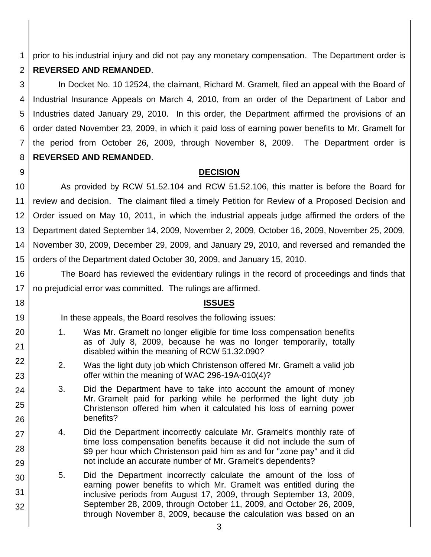1 prior to his industrial injury and did not pay any monetary compensation. The Department order is

#### 2 **REVERSED AND REMANDED**.

3 4 5 6 7 8 In Docket No. 10 12524, the claimant, Richard M. Gramelt, filed an appeal with the Board of Industrial Insurance Appeals on March 4, 2010, from an order of the Department of Labor and Industries dated January 29, 2010. In this order, the Department affirmed the provisions of an order dated November 23, 2009, in which it paid loss of earning power benefits to Mr. Gramelt for the period from October 26, 2009, through November 8, 2009. The Department order is **REVERSED AND REMANDED**.

9

18

19

20

21

22

23

24

25

26

27

28

29

# **DECISION**

10 11 12 13 14 15 As provided by RCW 51.52.104 and RCW 51.52.106, this matter is before the Board for review and decision. The claimant filed a timely Petition for Review of a Proposed Decision and Order issued on May 10, 2011, in which the industrial appeals judge affirmed the orders of the Department dated September 14, 2009, November 2, 2009, October 16, 2009, November 25, 2009, November 30, 2009, December 29, 2009, and January 29, 2010, and reversed and remanded the orders of the Department dated October 30, 2009, and January 15, 2010.

16 17 The Board has reviewed the evidentiary rulings in the record of proceedings and finds that no prejudicial error was committed. The rulings are affirmed.

**ISSUES**

In these appeals, the Board resolves the following issues:

- 1. Was Mr. Gramelt no longer eligible for time loss compensation benefits as of July 8, 2009, because he was no longer temporarily, totally disabled within the meaning of RCW 51.32.090?
- 2. Was the light duty job which Christenson offered Mr. Gramelt a valid job offer within the meaning of WAC 296-19A-010(4)?
- 3. Did the Department have to take into account the amount of money Mr. Gramelt paid for parking while he performed the light duty job Christenson offered him when it calculated his loss of earning power benefits?
- 4. Did the Department incorrectly calculate Mr. Gramelt's monthly rate of time loss compensation benefits because it did not include the sum of \$9 per hour which Christenson paid him as and for "zone pay" and it did not include an accurate number of Mr. Gramelt's dependents?
- 30 31 32 5. Did the Department incorrectly calculate the amount of the loss of earning power benefits to which Mr. Gramelt was entitled during the inclusive periods from August 17, 2009, through September 13, 2009, September 28, 2009, through October 11, 2009, and October 26, 2009, through November 8, 2009, because the calculation was based on an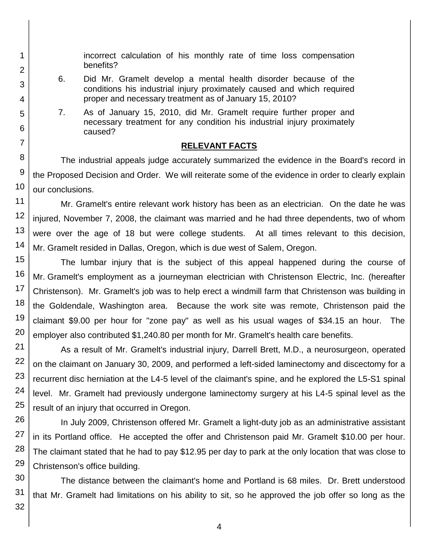incorrect calculation of his monthly rate of time loss compensation benefits?

- 6. Did Mr. Gramelt develop a mental health disorder because of the conditions his industrial injury proximately caused and which required proper and necessary treatment as of January 15, 2010?
- 7. As of January 15, 2010, did Mr. Gramelt require further proper and necessary treatment for any condition his industrial injury proximately caused?

# **RELEVANT FACTS**

The industrial appeals judge accurately summarized the evidence in the Board's record in the Proposed Decision and Order. We will reiterate some of the evidence in order to clearly explain our conclusions.

Mr. Gramelt's entire relevant work history has been as an electrician. On the date he was injured, November 7, 2008, the claimant was married and he had three dependents, two of whom were over the age of 18 but were college students. At all times relevant to this decision, Mr. Gramelt resided in Dallas, Oregon, which is due west of Salem, Oregon.

15 16 17 18 19 20 The lumbar injury that is the subject of this appeal happened during the course of Mr. Gramelt's employment as a journeyman electrician with Christenson Electric, Inc. (hereafter Christenson). Mr. Gramelt's job was to help erect a windmill farm that Christenson was building in the Goldendale, Washington area. Because the work site was remote, Christenson paid the claimant \$9.00 per hour for "zone pay" as well as his usual wages of \$34.15 an hour. The employer also contributed \$1,240.80 per month for Mr. Gramelt's health care benefits.

As a result of Mr. Gramelt's industrial injury, Darrell Brett, M.D., a neurosurgeon, operated on the claimant on January 30, 2009, and performed a left-sided laminectomy and discectomy for a recurrent disc herniation at the L4-5 level of the claimant's spine, and he explored the L5-S1 spinal level. Mr. Gramelt had previously undergone laminectomy surgery at his L4-5 spinal level as the result of an injury that occurred in Oregon.

In July 2009, Christenson offered Mr. Gramelt a light-duty job as an administrative assistant in its Portland office. He accepted the offer and Christenson paid Mr. Gramelt \$10.00 per hour. The claimant stated that he had to pay \$12.95 per day to park at the only location that was close to Christenson's office building.

The distance between the claimant's home and Portland is 68 miles. Dr. Brett understood that Mr. Gramelt had limitations on his ability to sit, so he approved the job offer so long as the

1

2

3

4

5

6

7

8

9

10

11

12

13

14

21

22

23

24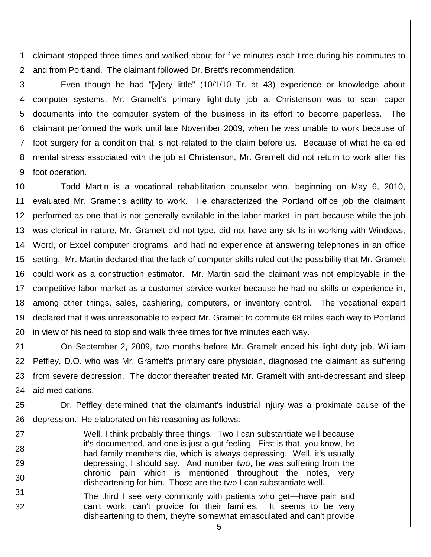1 2 claimant stopped three times and walked about for five minutes each time during his commutes to and from Portland. The claimant followed Dr. Brett's recommendation.

3 4 5 6 7 8 9 Even though he had "[v]ery little" (10/1/10 Tr. at 43) experience or knowledge about computer systems, Mr. Gramelt's primary light-duty job at Christenson was to scan paper documents into the computer system of the business in its effort to become paperless. The claimant performed the work until late November 2009, when he was unable to work because of foot surgery for a condition that is not related to the claim before us. Because of what he called mental stress associated with the job at Christenson, Mr. Gramelt did not return to work after his foot operation.

10 11 12 13 14 15 16 17 18 19 20 Todd Martin is a vocational rehabilitation counselor who, beginning on May 6, 2010, evaluated Mr. Gramelt's ability to work. He characterized the Portland office job the claimant performed as one that is not generally available in the labor market, in part because while the job was clerical in nature, Mr. Gramelt did not type, did not have any skills in working with Windows, Word, or Excel computer programs, and had no experience at answering telephones in an office setting. Mr. Martin declared that the lack of computer skills ruled out the possibility that Mr. Gramelt could work as a construction estimator. Mr. Martin said the claimant was not employable in the competitive labor market as a customer service worker because he had no skills or experience in, among other things, sales, cashiering, computers, or inventory control. The vocational expert declared that it was unreasonable to expect Mr. Gramelt to commute 68 miles each way to Portland in view of his need to stop and walk three times for five minutes each way.

21 22 23 24 On September 2, 2009, two months before Mr. Gramelt ended his light duty job, William Peffley, D.O. who was Mr. Gramelt's primary care physician, diagnosed the claimant as suffering from severe depression. The doctor thereafter treated Mr. Gramelt with anti-depressant and sleep aid medications.

25 26 Dr. Peffley determined that the claimant's industrial injury was a proximate cause of the depression. He elaborated on his reasoning as follows:

Well, I think probably three things. Two I can substantiate well because it's documented, and one is just a gut feeling. First is that, you know, he had family members die, which is always depressing. Well, it's usually depressing, I should say. And number two, he was suffering from the chronic pain which is mentioned throughout the notes, very disheartening for him. Those are the two I can substantiate well.

31 32 The third I see very commonly with patients who get—have pain and can't work, can't provide for their families. It seems to be very disheartening to them, they're somewhat emasculated and can't provide

27

28

29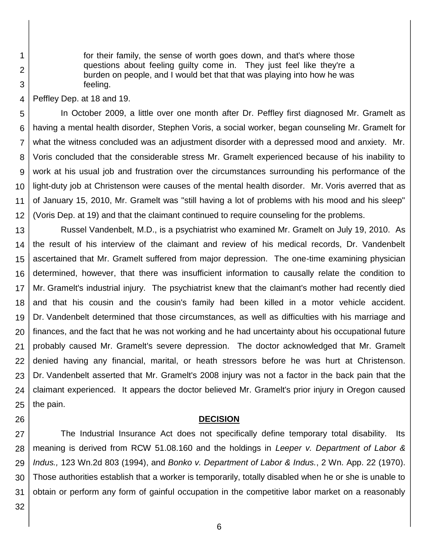for their family, the sense of worth goes down, and that's where those questions about feeling guilty come in. They just feel like they're a burden on people, and I would bet that that was playing into how he was feeling.

4 Peffley Dep. at 18 and 19.

1

2

3

5 6 7 8 9 10 11 12 In October 2009, a little over one month after Dr. Peffley first diagnosed Mr. Gramelt as having a mental health disorder, Stephen Voris, a social worker, began counseling Mr. Gramelt for what the witness concluded was an adjustment disorder with a depressed mood and anxiety. Mr. Voris concluded that the considerable stress Mr. Gramelt experienced because of his inability to work at his usual job and frustration over the circumstances surrounding his performance of the light-duty job at Christenson were causes of the mental health disorder. Mr. Voris averred that as of January 15, 2010, Mr. Gramelt was "still having a lot of problems with his mood and his sleep" (Voris Dep. at 19) and that the claimant continued to require counseling for the problems.

13 14 15 16 17 18 19 20 21 22 23 24 25 Russel Vandenbelt, M.D., is a psychiatrist who examined Mr. Gramelt on July 19, 2010. As the result of his interview of the claimant and review of his medical records, Dr. Vandenbelt ascertained that Mr. Gramelt suffered from major depression. The one-time examining physician determined, however, that there was insufficient information to causally relate the condition to Mr. Gramelt's industrial injury. The psychiatrist knew that the claimant's mother had recently died and that his cousin and the cousin's family had been killed in a motor vehicle accident. Dr. Vandenbelt determined that those circumstances, as well as difficulties with his marriage and finances, and the fact that he was not working and he had uncertainty about his occupational future probably caused Mr. Gramelt's severe depression. The doctor acknowledged that Mr. Gramelt denied having any financial, marital, or heath stressors before he was hurt at Christenson. Dr. Vandenbelt asserted that Mr. Gramelt's 2008 injury was not a factor in the back pain that the claimant experienced. It appears the doctor believed Mr. Gramelt's prior injury in Oregon caused the pain.

### **DECISION**

27 28 29 30 31 The Industrial Insurance Act does not specifically define temporary total disability. Its meaning is derived from RCW 51.08.160 and the holdings in *Leeper v. Department of Labor & Indus.,* 123 Wn.2d 803 (1994), and *Bonko v. Department of Labor & Indus.*, 2 Wn. App. 22 (1970). Those authorities establish that a worker is temporarily, totally disabled when he or she is unable to obtain or perform any form of gainful occupation in the competitive labor market on a reasonably

32

26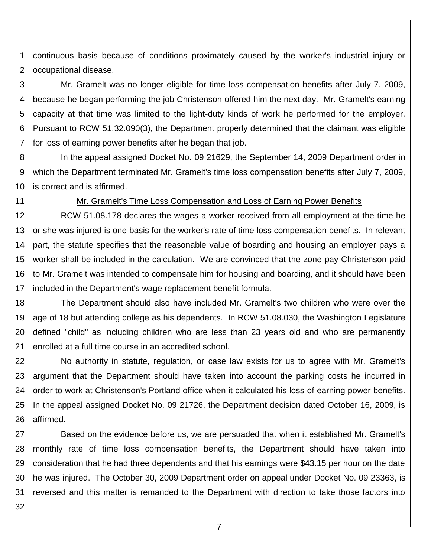1 2 continuous basis because of conditions proximately caused by the worker's industrial injury or occupational disease.

3 4 5 6 7 Mr. Gramelt was no longer eligible for time loss compensation benefits after July 7, 2009, because he began performing the job Christenson offered him the next day. Mr. Gramelt's earning capacity at that time was limited to the light-duty kinds of work he performed for the employer. Pursuant to RCW 51.32.090(3), the Department properly determined that the claimant was eligible for loss of earning power benefits after he began that job.

8 9 10 In the appeal assigned Docket No. 09 21629, the September 14, 2009 Department order in which the Department terminated Mr. Gramelt's time loss compensation benefits after July 7, 2009, is correct and is affirmed.

11

## Mr. Gramelt's Time Loss Compensation and Loss of Earning Power Benefits

12 13 14 15 16 17 RCW 51.08.178 declares the wages a worker received from all employment at the time he or she was injured is one basis for the worker's rate of time loss compensation benefits. In relevant part, the statute specifies that the reasonable value of boarding and housing an employer pays a worker shall be included in the calculation. We are convinced that the zone pay Christenson paid to Mr. Gramelt was intended to compensate him for housing and boarding, and it should have been included in the Department's wage replacement benefit formula.

18 19 20 21 The Department should also have included Mr. Gramelt's two children who were over the age of 18 but attending college as his dependents. In RCW 51.08.030, the Washington Legislature defined "child" as including children who are less than 23 years old and who are permanently enrolled at a full time course in an accredited school.

22 23 24 25 26 No authority in statute, regulation, or case law exists for us to agree with Mr. Gramelt's argument that the Department should have taken into account the parking costs he incurred in order to work at Christenson's Portland office when it calculated his loss of earning power benefits. In the appeal assigned Docket No. 09 21726, the Department decision dated October 16, 2009, is affirmed.

27 28 29 30 31 Based on the evidence before us, we are persuaded that when it established Mr. Gramelt's monthly rate of time loss compensation benefits, the Department should have taken into consideration that he had three dependents and that his earnings were \$43.15 per hour on the date he was injured. The October 30, 2009 Department order on appeal under Docket No. 09 23363, is reversed and this matter is remanded to the Department with direction to take those factors into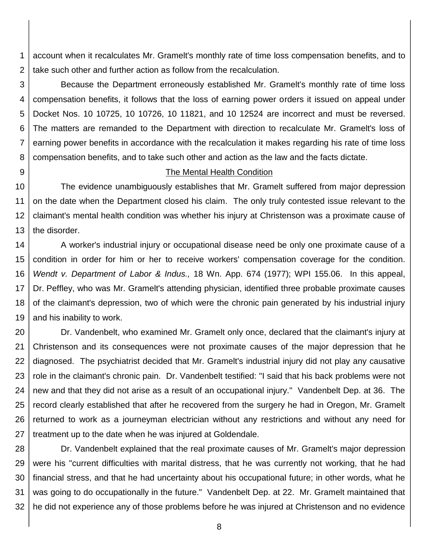1 2 account when it recalculates Mr. Gramelt's monthly rate of time loss compensation benefits, and to take such other and further action as follow from the recalculation.

3 4 5 6 7 8 Because the Department erroneously established Mr. Gramelt's monthly rate of time loss compensation benefits, it follows that the loss of earning power orders it issued on appeal under Docket Nos. 10 10725, 10 10726, 10 11821, and 10 12524 are incorrect and must be reversed. The matters are remanded to the Department with direction to recalculate Mr. Gramelt's loss of earning power benefits in accordance with the recalculation it makes regarding his rate of time loss compensation benefits, and to take such other and action as the law and the facts dictate.

9

### The Mental Health Condition

10 11 12 13 The evidence unambiguously establishes that Mr. Gramelt suffered from major depression on the date when the Department closed his claim. The only truly contested issue relevant to the claimant's mental health condition was whether his injury at Christenson was a proximate cause of the disorder.

14 15 16 17 18 19 A worker's industrial injury or occupational disease need be only one proximate cause of a condition in order for him or her to receive workers' compensation coverage for the condition. *Wendt v. Department of Labor & Indus.,* 18 Wn. App. 674 (1977); WPI 155.06. In this appeal, Dr. Peffley, who was Mr. Gramelt's attending physician, identified three probable proximate causes of the claimant's depression, two of which were the chronic pain generated by his industrial injury and his inability to work.

20 21 22 23 24 25 26 27 Dr. Vandenbelt, who examined Mr. Gramelt only once, declared that the claimant's injury at Christenson and its consequences were not proximate causes of the major depression that he diagnosed. The psychiatrist decided that Mr. Gramelt's industrial injury did not play any causative role in the claimant's chronic pain. Dr. Vandenbelt testified: "I said that his back problems were not new and that they did not arise as a result of an occupational injury." Vandenbelt Dep. at 36. The record clearly established that after he recovered from the surgery he had in Oregon, Mr. Gramelt returned to work as a journeyman electrician without any restrictions and without any need for treatment up to the date when he was injured at Goldendale.

28 29 30 31 32 Dr. Vandenbelt explained that the real proximate causes of Mr. Gramelt's major depression were his "current difficulties with marital distress, that he was currently not working, that he had financial stress, and that he had uncertainty about his occupational future; in other words, what he was going to do occupationally in the future." Vandenbelt Dep. at 22. Mr. Gramelt maintained that he did not experience any of those problems before he was injured at Christenson and no evidence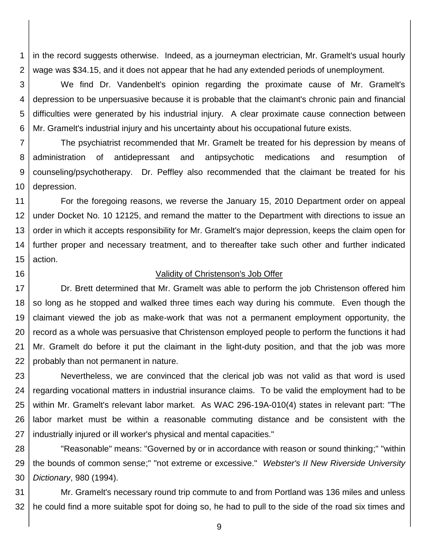1 2 in the record suggests otherwise. Indeed, as a journeyman electrician, Mr. Gramelt's usual hourly wage was \$34.15, and it does not appear that he had any extended periods of unemployment.

3 4 5 6 We find Dr. Vandenbelt's opinion regarding the proximate cause of Mr. Gramelt's depression to be unpersuasive because it is probable that the claimant's chronic pain and financial difficulties were generated by his industrial injury. A clear proximate cause connection between Mr. Gramelt's industrial injury and his uncertainty about his occupational future exists.

7 8 9 10 The psychiatrist recommended that Mr. Gramelt be treated for his depression by means of administration of antidepressant and antipsychotic medications and resumption of counseling/psychotherapy. Dr. Peffley also recommended that the claimant be treated for his depression.

11 12 13 14 15 For the foregoing reasons, we reverse the January 15, 2010 Department order on appeal under Docket No. 10 12125, and remand the matter to the Department with directions to issue an order in which it accepts responsibility for Mr. Gramelt's major depression, keeps the claim open for further proper and necessary treatment, and to thereafter take such other and further indicated action.

16

#### Validity of Christenson's Job Offer

17 18 19 20 21 22 Dr. Brett determined that Mr. Gramelt was able to perform the job Christenson offered him so long as he stopped and walked three times each way during his commute. Even though the claimant viewed the job as make-work that was not a permanent employment opportunity, the record as a whole was persuasive that Christenson employed people to perform the functions it had Mr. Gramelt do before it put the claimant in the light-duty position, and that the job was more probably than not permanent in nature.

23 24 25 26 27 Nevertheless, we are convinced that the clerical job was not valid as that word is used regarding vocational matters in industrial insurance claims. To be valid the employment had to be within Mr. Gramelt's relevant labor market. As WAC 296-19A-010(4) states in relevant part: "The labor market must be within a reasonable commuting distance and be consistent with the industrially injured or ill worker's physical and mental capacities."

28 29 30 "Reasonable" means: "Governed by or in accordance with reason or sound thinking;" "within the bounds of common sense;" "not extreme or excessive." *Webster's II New Riverside University Dictionary*, 980 (1994).

31 32 Mr. Gramelt's necessary round trip commute to and from Portland was 136 miles and unless he could find a more suitable spot for doing so, he had to pull to the side of the road six times and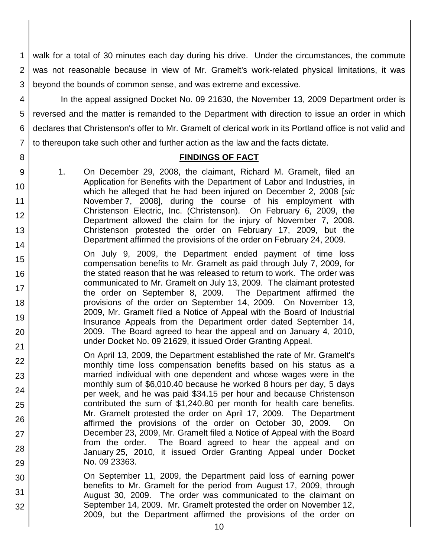1 2 3 walk for a total of 30 minutes each day during his drive. Under the circumstances, the commute was not reasonable because in view of Mr. Gramelt's work-related physical limitations, it was beyond the bounds of common sense, and was extreme and excessive.

4 5 6 7 In the appeal assigned Docket No. 09 21630, the November 13, 2009 Department order is reversed and the matter is remanded to the Department with direction to issue an order in which declares that Christenson's offer to Mr. Gramelt of clerical work in its Portland office is not valid and to thereupon take such other and further action as the law and the facts dictate.

# **FINDINGS OF FACT**

1. On December 29, 2008, the claimant, Richard M. Gramelt, filed an Application for Benefits with the Department of Labor and Industries, in which he alleged that he had been injured on December 2, 2008 [*sic* November 7, 2008], during the course of his employment with Christenson Electric, Inc. (Christenson). On February 6, 2009, the Department allowed the claim for the injury of November 7, 2008. Christenson protested the order on February 17, 2009, but the Department affirmed the provisions of the order on February 24, 2009.

8

9

10

11 12

13

14

22

23

24

25

26

27

28

29

30

31

- 15 16 17 18 19 20 21 On July 9, 2009, the Department ended payment of time loss compensation benefits to Mr. Gramelt as paid through July 7, 2009, for the stated reason that he was released to return to work. The order was communicated to Mr. Gramelt on July 13, 2009. The claimant protested the order on September 8, 2009. The Department affirmed the provisions of the order on September 14, 2009. On November 13, 2009, Mr. Gramelt filed a Notice of Appeal with the Board of Industrial Insurance Appeals from the Department order dated September 14, 2009. The Board agreed to hear the appeal and on January 4, 2010, under Docket No. 09 21629, it issued Order Granting Appeal.
	- On April 13, 2009, the Department established the rate of Mr. Gramelt's monthly time loss compensation benefits based on his status as a married individual with one dependent and whose wages were in the monthly sum of \$6,010.40 because he worked 8 hours per day, 5 days per week, and he was paid \$34.15 per hour and because Christenson contributed the sum of \$1,240.80 per month for health care benefits. Mr. Gramelt protested the order on April 17, 2009. The Department affirmed the provisions of the order on October 30, 2009. On December 23, 2009, Mr. Gramelt filed a Notice of Appeal with the Board from the order. The Board agreed to hear the appeal and on January 25, 2010, it issued Order Granting Appeal under Docket No. 09 23363.
		- On September 11, 2009, the Department paid loss of earning power benefits to Mr. Gramelt for the period from August 17, 2009, through August 30, 2009. The order was communicated to the claimant on September 14, 2009. Mr. Gramelt protested the order on November 12, 2009, but the Department affirmed the provisions of the order on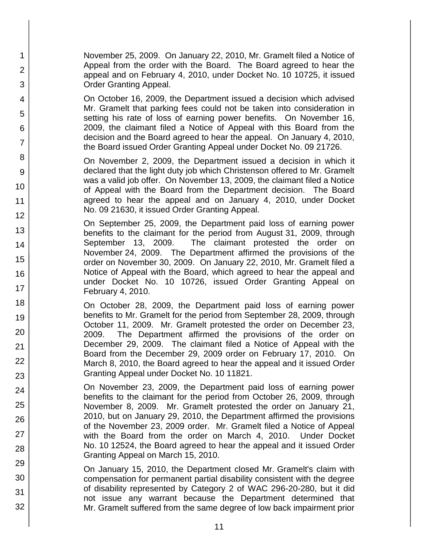November 25, 2009. On January 22, 2010, Mr. Gramelt filed a Notice of Appeal from the order with the Board. The Board agreed to hear the appeal and on February 4, 2010, under Docket No. 10 10725, it issued Order Granting Appeal.

1

2

3

4

5

6

7

8

9

10

11

12

13

14

15

16

17

18

19

20

21 22

23

24

25

26

27

28

29

30

31

32

On October 16, 2009, the Department issued a decision which advised Mr. Gramelt that parking fees could not be taken into consideration in setting his rate of loss of earning power benefits. On November 16, 2009, the claimant filed a Notice of Appeal with this Board from the decision and the Board agreed to hear the appeal. On January 4, 2010, the Board issued Order Granting Appeal under Docket No. 09 21726.

On November 2, 2009, the Department issued a decision in which it declared that the light duty job which Christenson offered to Mr. Gramelt was a valid job offer. On November 13, 2009, the claimant filed a Notice of Appeal with the Board from the Department decision. The Board agreed to hear the appeal and on January 4, 2010, under Docket No. 09 21630, it issued Order Granting Appeal.

On September 25, 2009, the Department paid loss of earning power benefits to the claimant for the period from August 31, 2009, through September 13, 2009. The claimant protested the order on November 24, 2009. The Department affirmed the provisions of the order on November 30, 2009. On January 22, 2010, Mr. Gramelt filed a Notice of Appeal with the Board, which agreed to hear the appeal and under Docket No. 10 10726, issued Order Granting Appeal on February 4, 2010.

On October 28, 2009, the Department paid loss of earning power benefits to Mr. Gramelt for the period from September 28, 2009, through October 11, 2009. Mr. Gramelt protested the order on December 23, 2009. The Department affirmed the provisions of the order on December 29, 2009. The claimant filed a Notice of Appeal with the Board from the December 29, 2009 order on February 17, 2010. On March 8, 2010, the Board agreed to hear the appeal and it issued Order Granting Appeal under Docket No. 10 11821.

On November 23, 2009, the Department paid loss of earning power benefits to the claimant for the period from October 26, 2009, through November 8, 2009. Mr. Gramelt protested the order on January 21, 2010, but on January 29, 2010, the Department affirmed the provisions of the November 23, 2009 order. Mr. Gramelt filed a Notice of Appeal with the Board from the order on March 4, 2010. Under Docket No. 10 12524, the Board agreed to hear the appeal and it issued Order Granting Appeal on March 15, 2010.

On January 15, 2010, the Department closed Mr. Gramelt's claim with compensation for permanent partial disability consistent with the degree of disability represented by Category 2 of WAC 296-20-280, but it did not issue any warrant because the Department determined that Mr. Gramelt suffered from the same degree of low back impairment prior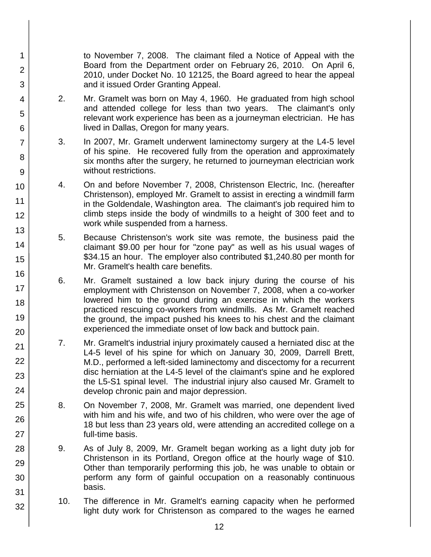to November 7, 2008. The claimant filed a Notice of Appeal with the Board from the Department order on February 26, 2010. On April 6, 2010, under Docket No. 10 12125, the Board agreed to hear the appeal and it issued Order Granting Appeal.

2. Mr. Gramelt was born on May 4, 1960. He graduated from high school and attended college for less than two years. The claimant's only relevant work experience has been as a journeyman electrician. He has lived in Dallas, Oregon for many years.

1

2

3

4

5

6

7

8

9

10

11 12

13

14

15

16

17

18

19

20

21 22

23

24

25

26

27

28

29

30

31

- 3. In 2007, Mr. Gramelt underwent laminectomy surgery at the L4-5 level of his spine. He recovered fully from the operation and approximately six months after the surgery, he returned to journeyman electrician work without restrictions.
- 4. On and before November 7, 2008, Christenson Electric, Inc. (hereafter Christenson), employed Mr. Gramelt to assist in erecting a windmill farm in the Goldendale, Washington area. The claimant's job required him to climb steps inside the body of windmills to a height of 300 feet and to work while suspended from a harness.
- 5. Because Christenson's work site was remote, the business paid the claimant \$9.00 per hour for "zone pay" as well as his usual wages of \$34.15 an hour. The employer also contributed \$1,240.80 per month for Mr. Gramelt's health care benefits.
- 6. Mr. Gramelt sustained a low back injury during the course of his employment with Christenson on November 7, 2008, when a co-worker lowered him to the ground during an exercise in which the workers practiced rescuing co-workers from windmills. As Mr. Gramelt reached the ground, the impact pushed his knees to his chest and the claimant experienced the immediate onset of low back and buttock pain.
- 7. Mr. Gramelt's industrial injury proximately caused a herniated disc at the L4-5 level of his spine for which on January 30, 2009, Darrell Brett, M.D., performed a left-sided laminectomy and discectomy for a recurrent disc herniation at the L4-5 level of the claimant's spine and he explored the L5-S1 spinal level. The industrial injury also caused Mr. Gramelt to develop chronic pain and major depression.
- 8. On November 7, 2008, Mr. Gramelt was married, one dependent lived with him and his wife, and two of his children, who were over the age of 18 but less than 23 years old, were attending an accredited college on a full-time basis.
- 9. As of July 8, 2009, Mr. Gramelt began working as a light duty job for Christenson in its Portland, Oregon office at the hourly wage of \$10. Other than temporarily performing this job, he was unable to obtain or perform any form of gainful occupation on a reasonably continuous basis.
	- 10. The difference in Mr. Gramelt's earning capacity when he performed light duty work for Christenson as compared to the wages he earned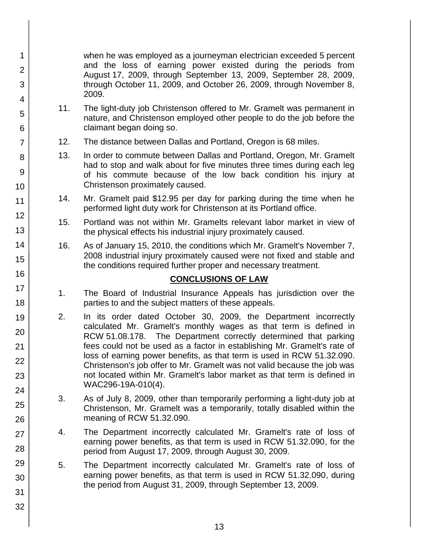when he was employed as a journeyman electrician exceeded 5 percent and the loss of earning power existed during the periods from August 17, 2009, through September 13, 2009, September 28, 2009, through October 11, 2009, and October 26, 2009, through November 8, 2009.

- 11. The light-duty job Christenson offered to Mr. Gramelt was permanent in nature, and Christenson employed other people to do the job before the claimant began doing so.
- 12. The distance between Dallas and Portland, Oregon is 68 miles.
- 13. In order to commute between Dallas and Portland, Oregon, Mr. Gramelt had to stop and walk about for five minutes three times during each leg of his commute because of the low back condition his injury at Christenson proximately caused.
- 14. Mr. Gramelt paid \$12.95 per day for parking during the time when he performed light duty work for Christenson at its Portland office.
- 15. Portland was not within Mr. Gramelts relevant labor market in view of the physical effects his industrial injury proximately caused.
- 16. As of January 15, 2010, the conditions which Mr. Gramelt's November 7, 2008 industrial injury proximately caused were not fixed and stable and the conditions required further proper and necessary treatment.

# **CONCLUSIONS OF LAW**

- 1. The Board of Industrial Insurance Appeals has jurisdiction over the parties to and the subject matters of these appeals.
- 2. In its order dated October 30, 2009, the Department incorrectly calculated Mr. Gramelt's monthly wages as that term is defined in RCW 51.08.178. The Department correctly determined that parking fees could not be used as a factor in establishing Mr. Gramelt's rate of loss of earning power benefits, as that term is used in RCW 51.32.090. Christenson's job offer to Mr. Gramelt was not valid because the job was not located within Mr. Gramelt's labor market as that term is defined in WAC296-19A-010(4).
- 3. As of July 8, 2009, other than temporarily performing a light-duty job at Christenson, Mr. Gramelt was a temporarily, totally disabled within the meaning of RCW 51.32.090.
- 4. The Department incorrectly calculated Mr. Gramelt's rate of loss of earning power benefits, as that term is used in RCW 51.32.090, for the period from August 17, 2009, through August 30, 2009.
- 5. The Department incorrectly calculated Mr. Gramelt's rate of loss of earning power benefits, as that term is used in RCW 51.32.090, during the period from August 31, 2009, through September 13, 2009.
- 17 18 19 20 21 22 23 24 25 26 27 28 29 30

1

2

3

4

5

6

7

8

9

10

11

12

13

14

15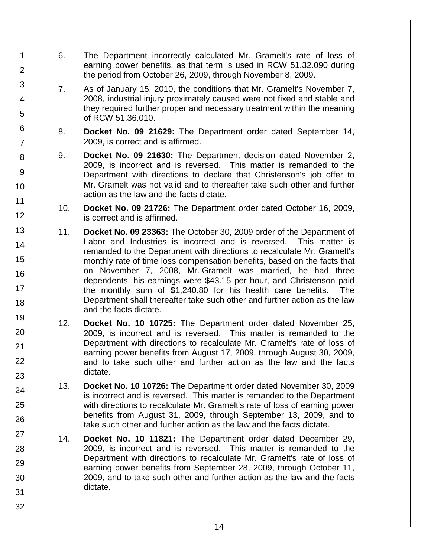- 6. The Department incorrectly calculated Mr. Gramelt's rate of loss of earning power benefits, as that term is used in RCW 51.32.090 during the period from October 26, 2009, through November 8, 2009.
- 7. As of January 15, 2010, the conditions that Mr. Gramelt's November 7, 2008, industrial injury proximately caused were not fixed and stable and they required further proper and necessary treatment within the meaning of RCW 51.36.010.
- 8. **Docket No. 09 21629:** The Department order dated September 14, 2009, is correct and is affirmed.
- 9. **Docket No. 09 21630:** The Department decision dated November 2, 2009, is incorrect and is reversed. This matter is remanded to the Department with directions to declare that Christenson's job offer to Mr. Gramelt was not valid and to thereafter take such other and further action as the law and the facts dictate.
- 10. **Docket No. 09 21726:** The Department order dated October 16, 2009, is correct and is affirmed.
- 11. **Docket No. 09 23363:** The October 30, 2009 order of the Department of Labor and Industries is incorrect and is reversed. This matter is remanded to the Department with directions to recalculate Mr. Gramelt's monthly rate of time loss compensation benefits, based on the facts that on November 7, 2008, Mr. Gramelt was married, he had three dependents, his earnings were \$43.15 per hour, and Christenson paid the monthly sum of \$1,240.80 for his health care benefits. The Department shall thereafter take such other and further action as the law and the facts dictate.
- 12. **Docket No. 10 10725:** The Department order dated November 25, 2009, is incorrect and is reversed. This matter is remanded to the Department with directions to recalculate Mr. Gramelt's rate of loss of earning power benefits from August 17, 2009, through August 30, 2009, and to take such other and further action as the law and the facts dictate.
- 13. **Docket No. 10 10726:** The Department order dated November 30, 2009 is incorrect and is reversed. This matter is remanded to the Department with directions to recalculate Mr. Gramelt's rate of loss of earning power benefits from August 31, 2009, through September 13, 2009, and to take such other and further action as the law and the facts dictate.
- 14. **Docket No. 10 11821:** The Department order dated December 29, 2009, is incorrect and is reversed. This matter is remanded to the Department with directions to recalculate Mr. Gramelt's rate of loss of earning power benefits from September 28, 2009, through October 11, 2009, and to take such other and further action as the law and the facts dictate.
- 

1

2

3

4

5

6

7

8

9

10

11

12

13

14

15

16

17 18

19

20

21

22

23

24

25

26

27

28

29

30

31